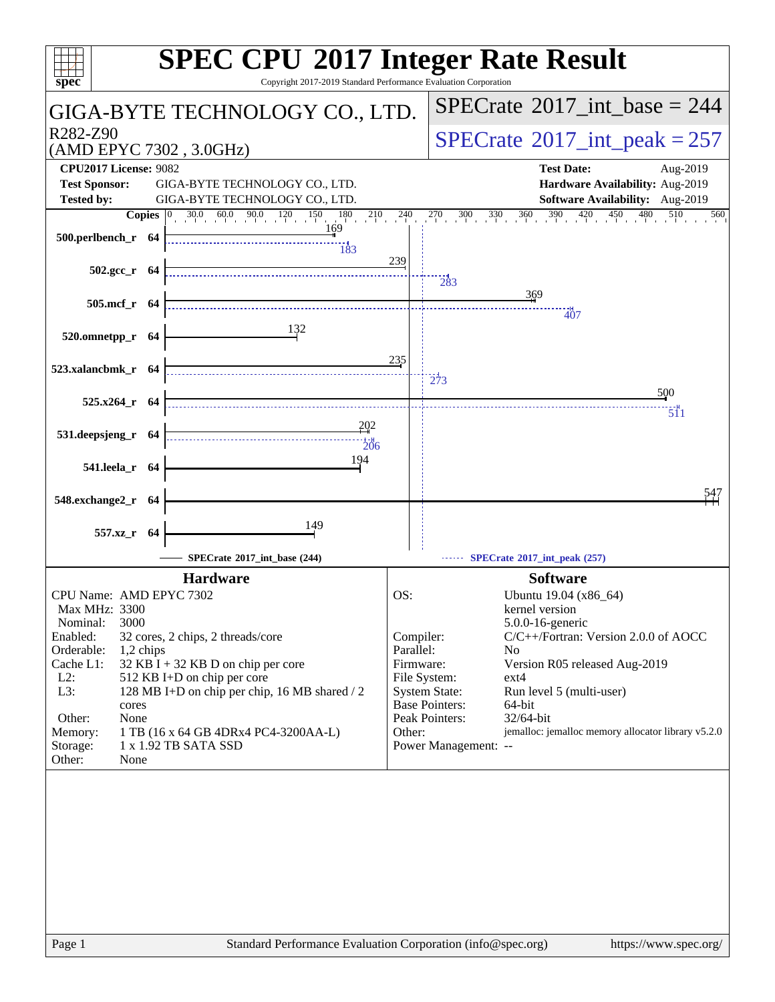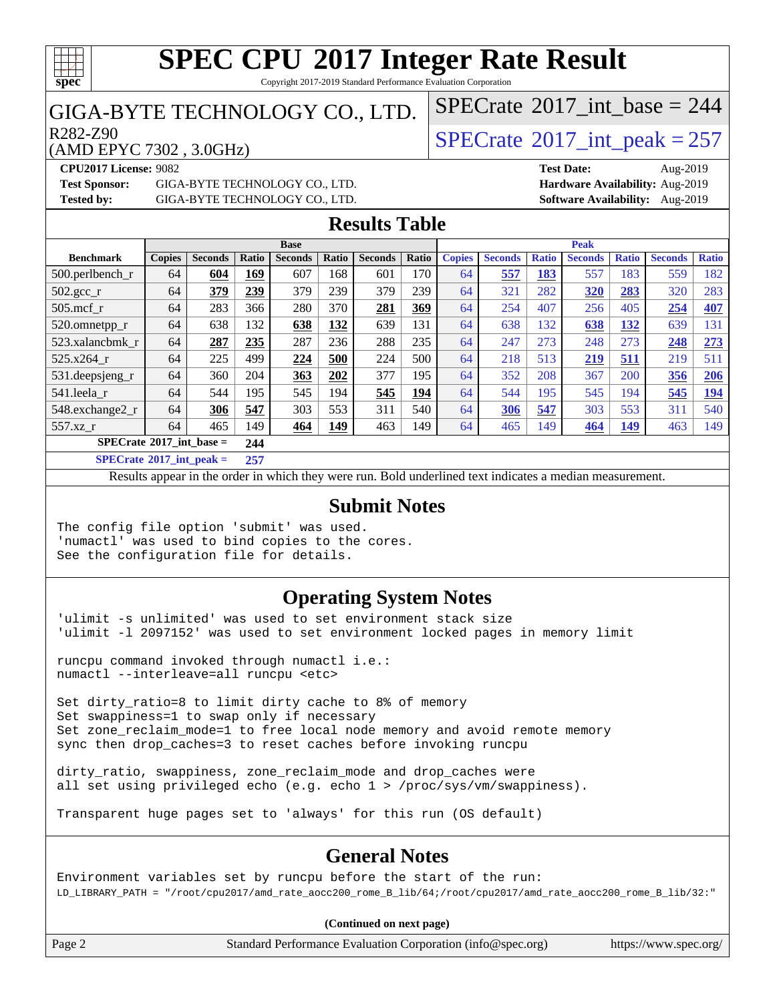

Copyright 2017-2019 Standard Performance Evaluation Corporation

#### GIGA-BYTE TECHNOLOGY CO., LTD.

 $R^{282-Z90}$ <br>(AMD EPYC 7302 3.0GHz) [SPECrate](http://www.spec.org/auto/cpu2017/Docs/result-fields.html#SPECrate2017intpeak)®[2017\\_int\\_peak = 2](http://www.spec.org/auto/cpu2017/Docs/result-fields.html#SPECrate2017intpeak)57

 $SPECTate$ <sup>®</sup>[2017\\_int\\_base =](http://www.spec.org/auto/cpu2017/Docs/result-fields.html#SPECrate2017intbase) 244

(AMD EPYC 7302 , 3.0GHz)

**[Test Sponsor:](http://www.spec.org/auto/cpu2017/Docs/result-fields.html#TestSponsor)** GIGA-BYTE TECHNOLOGY CO., LTD. **[Hardware Availability:](http://www.spec.org/auto/cpu2017/Docs/result-fields.html#HardwareAvailability)** Aug-2019

**[CPU2017 License:](http://www.spec.org/auto/cpu2017/Docs/result-fields.html#CPU2017License)** 9082 **[Test Date:](http://www.spec.org/auto/cpu2017/Docs/result-fields.html#TestDate)** Aug-2019 **[Tested by:](http://www.spec.org/auto/cpu2017/Docs/result-fields.html#Testedby)** GIGA-BYTE TECHNOLOGY CO., LTD. **[Software Availability:](http://www.spec.org/auto/cpu2017/Docs/result-fields.html#SoftwareAvailability)** Aug-2019

#### **[Results Table](http://www.spec.org/auto/cpu2017/Docs/result-fields.html#ResultsTable)**

|                                    |               |                |       | <b>Base</b>    |       |                |       | <b>Peak</b>   |                |              |                |              |                |              |
|------------------------------------|---------------|----------------|-------|----------------|-------|----------------|-------|---------------|----------------|--------------|----------------|--------------|----------------|--------------|
| <b>Benchmark</b>                   | <b>Copies</b> | <b>Seconds</b> | Ratio | <b>Seconds</b> | Ratio | <b>Seconds</b> | Ratio | <b>Copies</b> | <b>Seconds</b> | <b>Ratio</b> | <b>Seconds</b> | <b>Ratio</b> | <b>Seconds</b> | <b>Ratio</b> |
| $500.$ perlbench_r                 | 64            | 604            | 169   | 607            | 168   | 601            | 170   | 64            | 557            | 183          | 557            | 183          | 559            | 182          |
| $502.\text{sec}$                   | 64            | 379            | 239   | 379            | 239   | 379            | 239   | 64            | 321            | 282          | <u>320</u>     | 283          | 320            | 283          |
| $505$ .mcf r                       | 64            | 283            | 366   | 280            | 370   | 281            | 369   | 64            | 254            | 407          | 256            | 405          | 254            | 407          |
| 520.omnetpp_r                      | 64            | 638            | 132   | 638            | 132   | 639            | 131   | 64            | 638            | 132          | 638            | 132          | 639            | 131          |
| 523.xalancbmk r                    | 64            | 287            | 235   | 287            | 236   | 288            | 235   | 64            | 247            | 273          | 248            | 273          | 248            | 273          |
| 525.x264 r                         | 64            | 225            | 499   | 224            | 500   | 224            | 500   | 64            | 218            | 513          | 219            | 511          | 219            | 511          |
| 531.deepsjeng_r                    | 64            | 360            | 204   | 363            | 202   | 377            | 195   | 64            | 352            | 208          | 367            | 200          | 356            | 206          |
| 541.leela r                        | 64            | 544            | 195   | 545            | 194   | 545            | 194   | 64            | 544            | 195          | 545            | 194          | 545            | 194          |
| 548.exchange2_r                    | 64            | 306            | 547   | 303            | 553   | 311            | 540   | 64            | 306            | 547          | 303            | 553          | 311            | 540          |
| 557.xz r                           | 64            | 465            | 149   | 464            | 149   | 463            | 149   | 64            | 465            | 149          | 464            | <u>149</u>   | 463            | 149          |
| $SPECrate^{\circ}2017$ _int_base = |               |                | 244   |                |       |                |       |               |                |              |                |              |                |              |
| _____                              | .             |                |       |                |       |                |       |               |                |              |                |              |                |              |

**[SPECrate](http://www.spec.org/auto/cpu2017/Docs/result-fields.html#SPECrate2017intpeak)[2017\\_int\\_peak =](http://www.spec.org/auto/cpu2017/Docs/result-fields.html#SPECrate2017intpeak) 257**

Results appear in the [order in which they were run](http://www.spec.org/auto/cpu2017/Docs/result-fields.html#RunOrder). Bold underlined text [indicates a median measurement](http://www.spec.org/auto/cpu2017/Docs/result-fields.html#Median).

#### **[Submit Notes](http://www.spec.org/auto/cpu2017/Docs/result-fields.html#SubmitNotes)**

The config file option 'submit' was used. 'numactl' was used to bind copies to the cores. See the configuration file for details.

#### **[Operating System Notes](http://www.spec.org/auto/cpu2017/Docs/result-fields.html#OperatingSystemNotes)**

'ulimit -s unlimited' was used to set environment stack size 'ulimit -l 2097152' was used to set environment locked pages in memory limit

runcpu command invoked through numactl i.e.: numactl --interleave=all runcpu <etc>

Set dirty\_ratio=8 to limit dirty cache to 8% of memory Set swappiness=1 to swap only if necessary Set zone\_reclaim\_mode=1 to free local node memory and avoid remote memory sync then drop\_caches=3 to reset caches before invoking runcpu

dirty\_ratio, swappiness, zone\_reclaim\_mode and drop\_caches were all set using privileged echo (e.g. echo 1 > /proc/sys/vm/swappiness).

Transparent huge pages set to 'always' for this run (OS default)

#### **[General Notes](http://www.spec.org/auto/cpu2017/Docs/result-fields.html#GeneralNotes)**

Environment variables set by runcpu before the start of the run: LD\_LIBRARY\_PATH = "/root/cpu2017/amd\_rate\_aocc200\_rome\_B\_lib/64;/root/cpu2017/amd\_rate\_aocc200\_rome\_B\_lib/32:"

#### **(Continued on next page)**

Page 2 Standard Performance Evaluation Corporation [\(info@spec.org\)](mailto:info@spec.org) <https://www.spec.org/>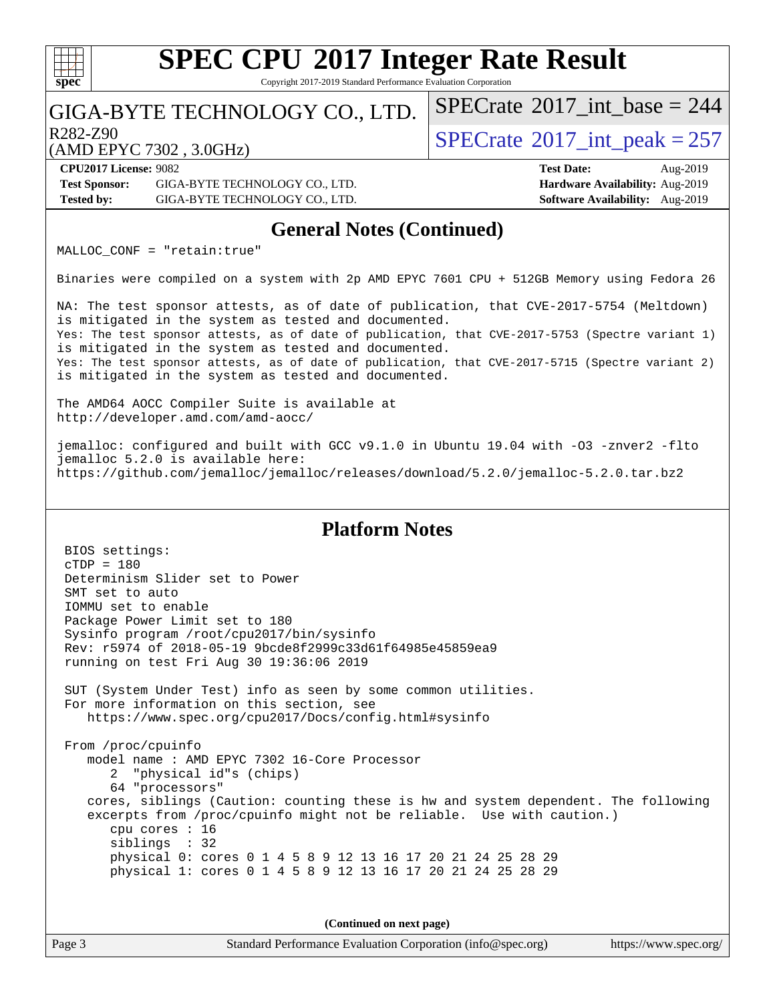#### $+\ +$ **[spec](http://www.spec.org/)**

## **[SPEC CPU](http://www.spec.org/auto/cpu2017/Docs/result-fields.html#SPECCPU2017IntegerRateResult)[2017 Integer Rate Result](http://www.spec.org/auto/cpu2017/Docs/result-fields.html#SPECCPU2017IntegerRateResult)**

Copyright 2017-2019 Standard Performance Evaluation Corporation

### GIGA-BYTE TECHNOLOGY CO., LTD.

R282-Z90<br>  $\angle$ AMDEPVC 7302 3.0GHz)<br> [SPECrate](http://www.spec.org/auto/cpu2017/Docs/result-fields.html#SPECrate2017intpeak)®[2017\\_int\\_peak = 2](http://www.spec.org/auto/cpu2017/Docs/result-fields.html#SPECrate2017intpeak)57

 $SPECTate$ <sup>®</sup>[2017\\_int\\_base =](http://www.spec.org/auto/cpu2017/Docs/result-fields.html#SPECrate2017intbase) 244

(AMD EPYC 7302 , 3.0GHz)

**[CPU2017 License:](http://www.spec.org/auto/cpu2017/Docs/result-fields.html#CPU2017License)** 9082 **[Test Date:](http://www.spec.org/auto/cpu2017/Docs/result-fields.html#TestDate)** Aug-2019 **[Test Sponsor:](http://www.spec.org/auto/cpu2017/Docs/result-fields.html#TestSponsor)** GIGA-BYTE TECHNOLOGY CO., LTD. **[Hardware Availability:](http://www.spec.org/auto/cpu2017/Docs/result-fields.html#HardwareAvailability)** Aug-2019 **[Tested by:](http://www.spec.org/auto/cpu2017/Docs/result-fields.html#Testedby)** GIGA-BYTE TECHNOLOGY CO., LTD. **[Software Availability:](http://www.spec.org/auto/cpu2017/Docs/result-fields.html#SoftwareAvailability)** Aug-2019

#### **[General Notes \(Continued\)](http://www.spec.org/auto/cpu2017/Docs/result-fields.html#GeneralNotes)**

MALLOC\_CONF = "retain:true"

Binaries were compiled on a system with 2p AMD EPYC 7601 CPU + 512GB Memory using Fedora 26

NA: The test sponsor attests, as of date of publication, that CVE-2017-5754 (Meltdown) is mitigated in the system as tested and documented. Yes: The test sponsor attests, as of date of publication, that CVE-2017-5753 (Spectre variant 1) is mitigated in the system as tested and documented. Yes: The test sponsor attests, as of date of publication, that CVE-2017-5715 (Spectre variant 2) is mitigated in the system as tested and documented.

The AMD64 AOCC Compiler Suite is available at <http://developer.amd.com/amd-aocc/>

jemalloc: configured and built with GCC v9.1.0 in Ubuntu 19.04 with -O3 -znver2 -flto jemalloc 5.2.0 is available here: <https://github.com/jemalloc/jemalloc/releases/download/5.2.0/jemalloc-5.2.0.tar.bz2>

#### **[Platform Notes](http://www.spec.org/auto/cpu2017/Docs/result-fields.html#PlatformNotes)**

 BIOS settings: cTDP = 180 Determinism Slider set to Power SMT set to auto IOMMU set to enable Package Power Limit set to 180 Sysinfo program /root/cpu2017/bin/sysinfo Rev: r5974 of 2018-05-19 9bcde8f2999c33d61f64985e45859ea9 running on test Fri Aug 30 19:36:06 2019 SUT (System Under Test) info as seen by some common utilities. For more information on this section, see <https://www.spec.org/cpu2017/Docs/config.html#sysinfo> From /proc/cpuinfo model name : AMD EPYC 7302 16-Core Processor 2 "physical id"s (chips) 64 "processors" cores, siblings (Caution: counting these is hw and system dependent. The following excerpts from /proc/cpuinfo might not be reliable. Use with caution.) cpu cores : 16 siblings : 32 physical 0: cores 0 1 4 5 8 9 12 13 16 17 20 21 24 25 28 29 physical 1: cores 0 1 4 5 8 9 12 13 16 17 20 21 24 25 28 29

**(Continued on next page)**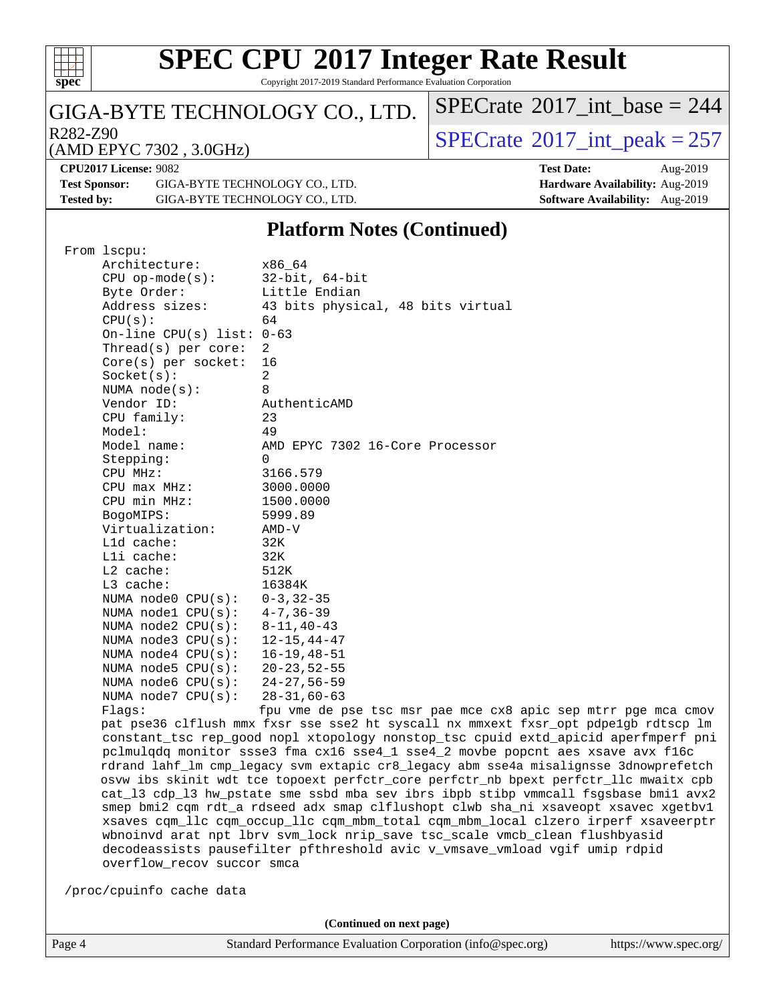

Copyright 2017-2019 Standard Performance Evaluation Corporation

### GIGA-BYTE TECHNOLOGY CO., LTD.

R282-Z90<br>(AMD EPYC 7302 3 0GHz) [SPECrate](http://www.spec.org/auto/cpu2017/Docs/result-fields.html#SPECrate2017intpeak)®[2017\\_int\\_peak = 2](http://www.spec.org/auto/cpu2017/Docs/result-fields.html#SPECrate2017intpeak)57

 $SPECrate$ <sup>®</sup> $2017$ \_int\_base = 244

#### (AMD EPYC 7302 , 3.0GHz)

**[CPU2017 License:](http://www.spec.org/auto/cpu2017/Docs/result-fields.html#CPU2017License)** 9082 **[Test Date:](http://www.spec.org/auto/cpu2017/Docs/result-fields.html#TestDate)** Aug-2019 **[Test Sponsor:](http://www.spec.org/auto/cpu2017/Docs/result-fields.html#TestSponsor)** GIGA-BYTE TECHNOLOGY CO., LTD. **[Hardware Availability:](http://www.spec.org/auto/cpu2017/Docs/result-fields.html#HardwareAvailability)** Aug-2019 **[Tested by:](http://www.spec.org/auto/cpu2017/Docs/result-fields.html#Testedby)** GIGA-BYTE TECHNOLOGY CO., LTD. **[Software Availability:](http://www.spec.org/auto/cpu2017/Docs/result-fields.html#SoftwareAvailability)** Aug-2019

### **[Platform Notes \(Continued\)](http://www.spec.org/auto/cpu2017/Docs/result-fields.html#PlatformNotes)**

| From lscpu:                 |                                                                                      |  |  |  |  |  |
|-----------------------------|--------------------------------------------------------------------------------------|--|--|--|--|--|
| Architecture:               | x86 64                                                                               |  |  |  |  |  |
| $CPU$ op-mode( $s$ ):       | $32$ -bit, $64$ -bit                                                                 |  |  |  |  |  |
| Byte Order:                 | Little Endian                                                                        |  |  |  |  |  |
| Address sizes:              | 43 bits physical, 48 bits virtual                                                    |  |  |  |  |  |
| CPU(s):                     | 64                                                                                   |  |  |  |  |  |
| On-line CPU(s) list: $0-63$ |                                                                                      |  |  |  |  |  |
| Thread( $s$ ) per core:     | 2                                                                                    |  |  |  |  |  |
| $Core(s)$ per socket:       | 16                                                                                   |  |  |  |  |  |
| Socket(s):                  | $\overline{a}$                                                                       |  |  |  |  |  |
| NUMA $node(s):$             | 8                                                                                    |  |  |  |  |  |
| Vendor ID:                  | AuthenticAMD                                                                         |  |  |  |  |  |
| CPU family:                 | 23                                                                                   |  |  |  |  |  |
| Model:                      | 49                                                                                   |  |  |  |  |  |
| Model name:                 | AMD EPYC 7302 16-Core Processor                                                      |  |  |  |  |  |
| Stepping:                   | 0                                                                                    |  |  |  |  |  |
| CPU MHz:                    | 3166.579                                                                             |  |  |  |  |  |
| $CPU$ max $MHz$ :           | 3000.0000                                                                            |  |  |  |  |  |
| CPU min MHz:                | 1500.0000                                                                            |  |  |  |  |  |
| BogoMIPS:                   | 5999.89                                                                              |  |  |  |  |  |
| Virtualization:             | AMD-V                                                                                |  |  |  |  |  |
| L1d cache:                  | 32K                                                                                  |  |  |  |  |  |
| $L1i$ cache:                | 32K                                                                                  |  |  |  |  |  |
| $L2$ cache:                 | 512K                                                                                 |  |  |  |  |  |
| L3 cache:                   | 16384K                                                                               |  |  |  |  |  |
| NUMA $node0$ $CPU(s)$ :     | $0 - 3, 32 - 35$                                                                     |  |  |  |  |  |
| NUMA nodel $CPU(s):$        | $4 - 7, 36 - 39$                                                                     |  |  |  |  |  |
| NUMA $node2$ $CPU(s):$      | $8 - 11, 40 - 43$                                                                    |  |  |  |  |  |
| NUMA $node3$ $CPU(s):$      | $12 - 15, 44 - 47$                                                                   |  |  |  |  |  |
| NUMA $node4$ $CPU(s):$      | 16-19,48-51                                                                          |  |  |  |  |  |
| NUMA $node5$ $CPU(s):$      | $20 - 23, 52 - 55$                                                                   |  |  |  |  |  |
| NUMA node6 $CPU(s):$        | $24 - 27, 56 - 59$                                                                   |  |  |  |  |  |
| NUMA node7 CPU(s):          | $28 - 31,60 - 63$                                                                    |  |  |  |  |  |
| Flagg:                      | fpu vme de pse tsc msr pae mce cx8 apic sep mtrr pge mca cmov                        |  |  |  |  |  |
|                             | pat pse36 clflush mmx fxsr sse sse2 ht syscall nx mmxext fxsr_opt pdpe1gb rdtscp lm  |  |  |  |  |  |
|                             | constant_tsc rep_good nopl xtopology nonstop_tsc cpuid extd_apicid aperfmperf pni    |  |  |  |  |  |
|                             | pclmulqdq monitor ssse3 fma cx16 sse4_1 sse4_2 movbe popcnt aes xsave avx f16c       |  |  |  |  |  |
|                             | rdrand lahf_lm cmp_legacy svm extapic cr8_legacy abm sse4a misalignsse 3dnowprefetch |  |  |  |  |  |
|                             | osvw ibs skinit wdt tce topoext perfctr_core perfctr_nb bpext perfctr_llc mwaitx cpb |  |  |  |  |  |
|                             | cat_13 cdp_13 hw_pstate sme ssbd mba sev ibrs ibpb stibp vmmcall fsgsbase bmil avx2  |  |  |  |  |  |
|                             | smep bmi2 cqm rdt_a rdseed adx smap clflushopt clwb sha_ni xsaveopt xsavec xgetbvl   |  |  |  |  |  |
|                             | xsaves cqm_llc cqm_occup_llc cqm_mbm_total cqm_mbm_local clzero irperf xsaveerptr    |  |  |  |  |  |
|                             | wbnoinvd arat npt lbrv svm_lock nrip_save tsc_scale vmcb_clean flushbyasid           |  |  |  |  |  |
|                             | decodeassists pausefilter pfthreshold avic v_vmsave_vmload vgif umip rdpid           |  |  |  |  |  |
| overflow_recov succor smca  |                                                                                      |  |  |  |  |  |
|                             |                                                                                      |  |  |  |  |  |
| /proc/cpuinfo cache data    |                                                                                      |  |  |  |  |  |
|                             |                                                                                      |  |  |  |  |  |
|                             |                                                                                      |  |  |  |  |  |

**(Continued on next page)**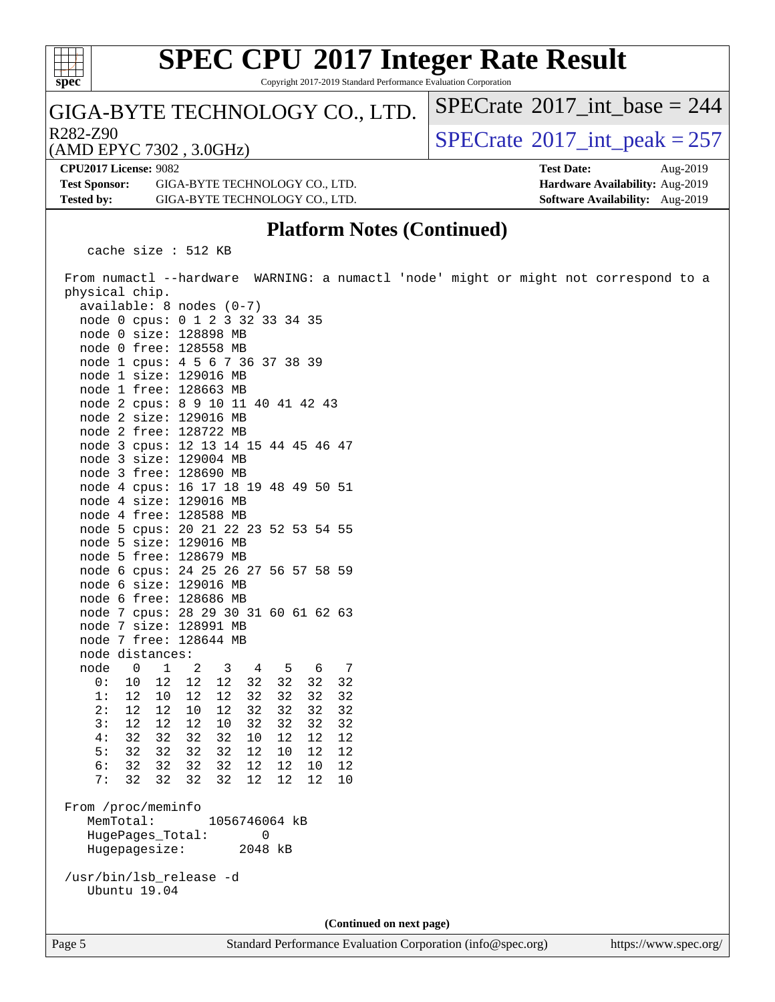

Copyright 2017-2019 Standard Performance Evaluation Corporation

#### GIGA-BYTE TECHNOLOGY CO., LTD.

 $R^{282-Z90}$ <br>(AMD EPYC 7302 3 0GHz) [SPECrate](http://www.spec.org/auto/cpu2017/Docs/result-fields.html#SPECrate2017intpeak)®[2017\\_int\\_peak = 2](http://www.spec.org/auto/cpu2017/Docs/result-fields.html#SPECrate2017intpeak)57

 $SPECTate$ <sup>®</sup>[2017\\_int\\_base =](http://www.spec.org/auto/cpu2017/Docs/result-fields.html#SPECrate2017intbase) 244

(AMD EPYC 7302 , 3.0GHz) **[CPU2017 License:](http://www.spec.org/auto/cpu2017/Docs/result-fields.html#CPU2017License)** 9082 **[Test Date:](http://www.spec.org/auto/cpu2017/Docs/result-fields.html#TestDate)** Aug-2019

**[Test Sponsor:](http://www.spec.org/auto/cpu2017/Docs/result-fields.html#TestSponsor)** GIGA-BYTE TECHNOLOGY CO., LTD. **[Hardware Availability:](http://www.spec.org/auto/cpu2017/Docs/result-fields.html#HardwareAvailability)** Aug-2019 **[Tested by:](http://www.spec.org/auto/cpu2017/Docs/result-fields.html#Testedby)** GIGA-BYTE TECHNOLOGY CO., LTD. **[Software Availability:](http://www.spec.org/auto/cpu2017/Docs/result-fields.html#SoftwareAvailability)** Aug-2019

### **[Platform Notes \(Continued\)](http://www.spec.org/auto/cpu2017/Docs/result-fields.html#PlatformNotes)**

cache size : 512 KB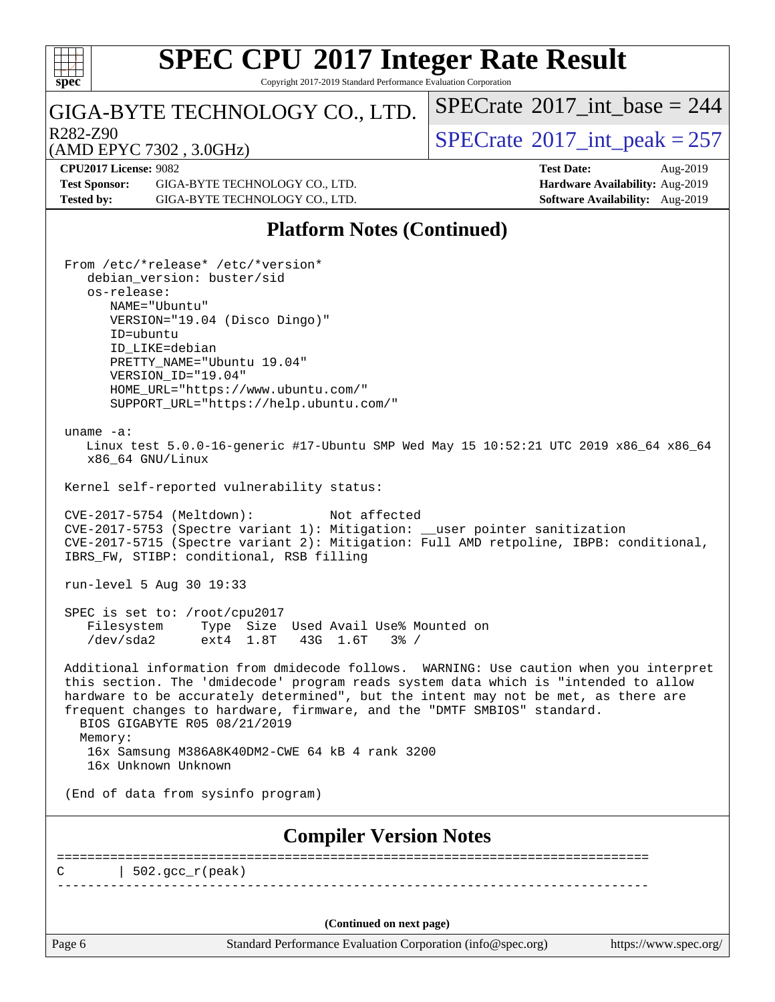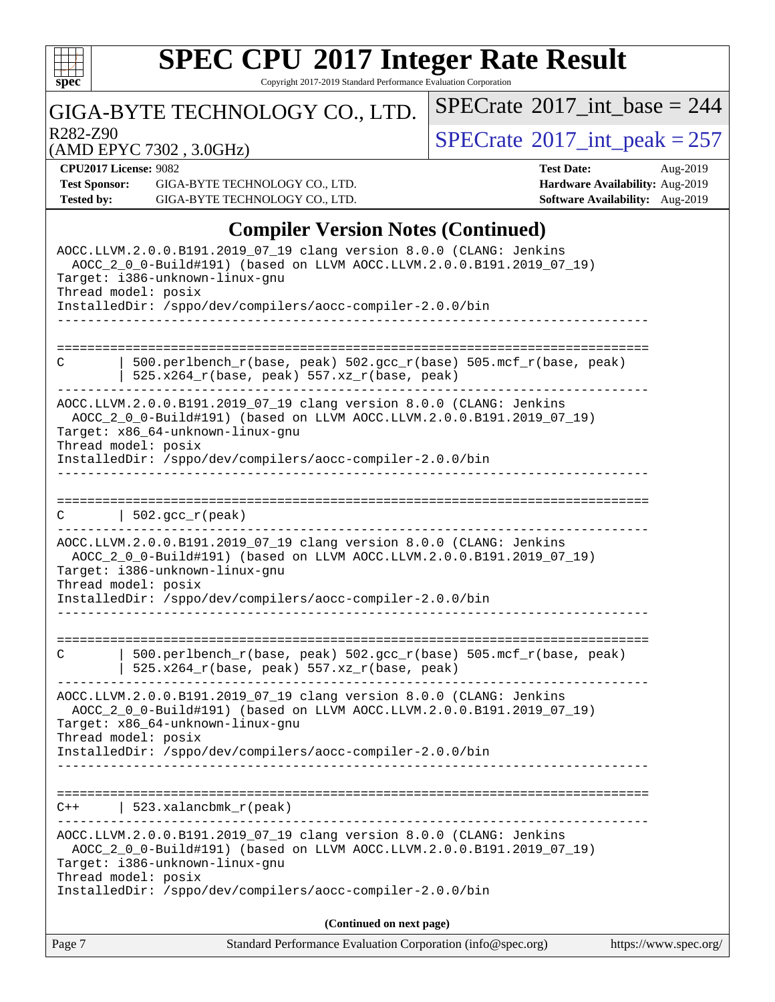

Copyright 2017-2019 Standard Performance Evaluation Corporation

### GIGA-BYTE TECHNOLOGY CO., LTD.

R282-Z90<br>  $\begin{array}{|c|c|c|c|}\n\hline\n\text{R282-Z90} & \text{3.0GHz} \\
\hline\n\end{array}$  [SPECrate](http://www.spec.org/auto/cpu2017/Docs/result-fields.html#SPECrate2017intpeak)®[2017\\_int\\_peak = 2](http://www.spec.org/auto/cpu2017/Docs/result-fields.html#SPECrate2017intpeak)57

 $SPECrate$ <sup>®</sup>[2017\\_int\\_base =](http://www.spec.org/auto/cpu2017/Docs/result-fields.html#SPECrate2017intbase) 244

(AMD EPYC 7302 , 3.0GHz)

**[CPU2017 License:](http://www.spec.org/auto/cpu2017/Docs/result-fields.html#CPU2017License)** 9082 **[Test Date:](http://www.spec.org/auto/cpu2017/Docs/result-fields.html#TestDate)** Aug-2019

**[Test Sponsor:](http://www.spec.org/auto/cpu2017/Docs/result-fields.html#TestSponsor)** GIGA-BYTE TECHNOLOGY CO., LTD. **[Hardware Availability:](http://www.spec.org/auto/cpu2017/Docs/result-fields.html#HardwareAvailability)** Aug-2019 **[Tested by:](http://www.spec.org/auto/cpu2017/Docs/result-fields.html#Testedby)** GIGA-BYTE TECHNOLOGY CO., LTD. **[Software Availability:](http://www.spec.org/auto/cpu2017/Docs/result-fields.html#SoftwareAvailability)** Aug-2019

#### **[Compiler Version Notes \(Continued\)](http://www.spec.org/auto/cpu2017/Docs/result-fields.html#CompilerVersionNotes)**

| Standard Performance Evaluation Corporation (info@spec.org)<br>Page 7                                                                                                                                                                                                | https://www.spec.org/ |
|----------------------------------------------------------------------------------------------------------------------------------------------------------------------------------------------------------------------------------------------------------------------|-----------------------|
| (Continued on next page)                                                                                                                                                                                                                                             |                       |
| Target: i386-unknown-linux-gnu<br>Thread model: posix<br>InstalledDir: /sppo/dev/compilers/aocc-compiler-2.0.0/bin                                                                                                                                                   |                       |
| AOCC.LLVM.2.0.0.B191.2019_07_19 clang version 8.0.0 (CLANG: Jenkins<br>AOCC_2_0_0-Build#191) (based on LLVM AOCC.LLVM.2.0.0.B191.2019_07_19)                                                                                                                         |                       |
| 523.xalancbmk_r(peak)<br>$C++$                                                                                                                                                                                                                                       |                       |
| InstalledDir: /sppo/dev/compilers/aocc-compiler-2.0.0/bin                                                                                                                                                                                                            |                       |
| AOCC.LLVM.2.0.0.B191.2019_07_19 clang version 8.0.0 (CLANG: Jenkins<br>AOCC_2_0_0-Build#191) (based on LLVM AOCC.LLVM.2.0.0.B191.2019_07_19)<br>Target: x86_64-unknown-linux-gnu<br>Thread model: posix                                                              |                       |
| 500.perlbench_r(base, peak) 502.gcc_r(base) 505.mcf_r(base, peak)<br>C<br>525.x264_r(base, peak) 557.xz_r(base, peak)                                                                                                                                                |                       |
| AOCC.LLVM.2.0.0.B191.2019_07_19 clang version 8.0.0 (CLANG: Jenkins<br>AOCC_2_0_0-Build#191) (based on LLVM AOCC.LLVM.2.0.0.B191.2019_07_19)<br>Target: i386-unknown-linux-gnu<br>Thread model: posix<br>InstalledDir: /sppo/dev/compilers/aocc-compiler-2.0.0/bin   |                       |
| $\vert$ 502.gcc_r(peak)<br>C                                                                                                                                                                                                                                         |                       |
| AOCC.LLVM.2.0.0.B191.2019_07_19 clang version 8.0.0 (CLANG: Jenkins<br>AOCC_2_0_0-Build#191) (based on LLVM AOCC.LLVM.2.0.0.B191.2019_07_19)<br>Target: x86_64-unknown-linux-gnu<br>Thread model: posix<br>InstalledDir: /sppo/dev/compilers/aocc-compiler-2.0.0/bin |                       |
| ===========================<br>500.perlbench_r(base, peak) 502.gcc_r(base) 505.mcf_r(base, peak)<br>C<br>525.x264_r(base, peak) 557.xz_r(base, peak)                                                                                                                 |                       |
|                                                                                                                                                                                                                                                                      |                       |
| Target: i386-unknown-linux-gnu<br>Thread model: posix<br>InstalledDir: /sppo/dev/compilers/aocc-compiler-2.0.0/bin                                                                                                                                                   |                       |
| AOCC.LLVM.2.0.0.B191.2019_07_19 clang version 8.0.0 (CLANG: Jenkins<br>AOCC_2_0_0-Build#191) (based on LLVM AOCC.LLVM.2.0.0.B191.2019_07_19)                                                                                                                         |                       |
|                                                                                                                                                                                                                                                                      |                       |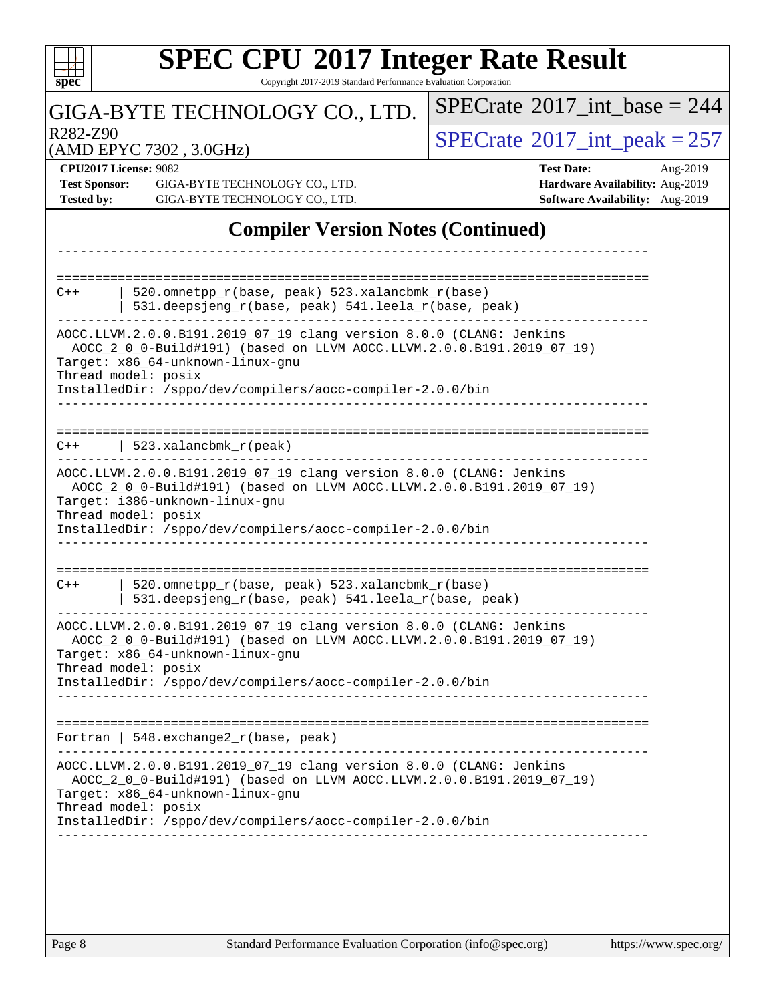| <b>SPEC CPU®2017 Integer Rate Result</b><br>Copyright 2017-2019 Standard Performance Evaluation Corporation<br>$spec^*$                                                                                                                                                                              |                                                                                                     |  |  |  |  |
|------------------------------------------------------------------------------------------------------------------------------------------------------------------------------------------------------------------------------------------------------------------------------------------------------|-----------------------------------------------------------------------------------------------------|--|--|--|--|
| GIGA-BYTE TECHNOLOGY CO., LTD.                                                                                                                                                                                                                                                                       | $SPECrate^{\circledast}2017$ int base = 244                                                         |  |  |  |  |
| R <sub>282</sub> -Z <sub>90</sub><br>(AMD EPYC 7302, 3.0GHz)                                                                                                                                                                                                                                         | $SPECrate^{\circ}2017\_int\_peak = 257$                                                             |  |  |  |  |
| <b>CPU2017 License: 9082</b><br><b>Test Sponsor:</b><br>GIGA-BYTE TECHNOLOGY CO., LTD.<br><b>Tested by:</b><br>GIGA-BYTE TECHNOLOGY CO., LTD.                                                                                                                                                        | <b>Test Date:</b><br>Aug-2019<br>Hardware Availability: Aug-2019<br>Software Availability: Aug-2019 |  |  |  |  |
| <b>Compiler Version Notes (Continued)</b>                                                                                                                                                                                                                                                            |                                                                                                     |  |  |  |  |
| 520.omnetpp_r(base, peak) 523.xalancbmk_r(base)<br>$C++$<br>531.deepsjeng_r(base, peak) 541.leela_r(base, peak)                                                                                                                                                                                      |                                                                                                     |  |  |  |  |
| AOCC.LLVM.2.0.0.B191.2019_07_19 clang version 8.0.0 (CLANG: Jenkins<br>AOCC_2_0_0-Build#191) (based on LLVM AOCC.LLVM.2.0.0.B191.2019_07_19)<br>Target: x86_64-unknown-linux-gnu<br>Thread model: posix<br>InstalledDir: /sppo/dev/compilers/aocc-compiler-2.0.0/bin                                 |                                                                                                     |  |  |  |  |
| 523.xalancbmk_r(peak)<br>$C++$<br>AOCC.LLVM.2.0.0.B191.2019_07_19 clang version 8.0.0 (CLANG: Jenkins<br>AOCC_2_0_0-Build#191) (based on LLVM AOCC.LLVM.2.0.0.B191.2019_07_19)<br>Target: i386-unknown-linux-gnu<br>Thread model: posix<br>InstalledDir: /sppo/dev/compilers/aocc-compiler-2.0.0/bin |                                                                                                     |  |  |  |  |
| 520.omnetpp_r(base, peak) 523.xalancbmk_r(base)<br>$C++$<br>531.deepsjeng_r(base, peak) 541.leela_r(base, peak)                                                                                                                                                                                      |                                                                                                     |  |  |  |  |
| AOCC.LLVM.2.0.0.B191.2019_07_19 clang version 8.0.0 (CLANG: Jenkins<br>AOCC_2_0_0-Build#191) (based on LLVM AOCC.LLVM.2.0.0.B191.2019_07_19)<br>Target: x86_64-unknown-linux-gnu<br>Thread model: posix<br>InstalledDir: /sppo/dev/compilers/aocc-compiler-2.0.0/bin                                 |                                                                                                     |  |  |  |  |
| Fortran   $548$ . exchange $2r$ (base, peak)                                                                                                                                                                                                                                                         |                                                                                                     |  |  |  |  |
| AOCC.LLVM.2.0.0.B191.2019_07_19 clang version 8.0.0 (CLANG: Jenkins<br>AOCC_2_0_0-Build#191) (based on LLVM AOCC.LLVM.2.0.0.B191.2019_07_19)<br>Target: x86_64-unknown-linux-gnu<br>Thread model: posix<br>InstalledDir: /sppo/dev/compilers/aocc-compiler-2.0.0/bin                                 |                                                                                                     |  |  |  |  |
|                                                                                                                                                                                                                                                                                                      |                                                                                                     |  |  |  |  |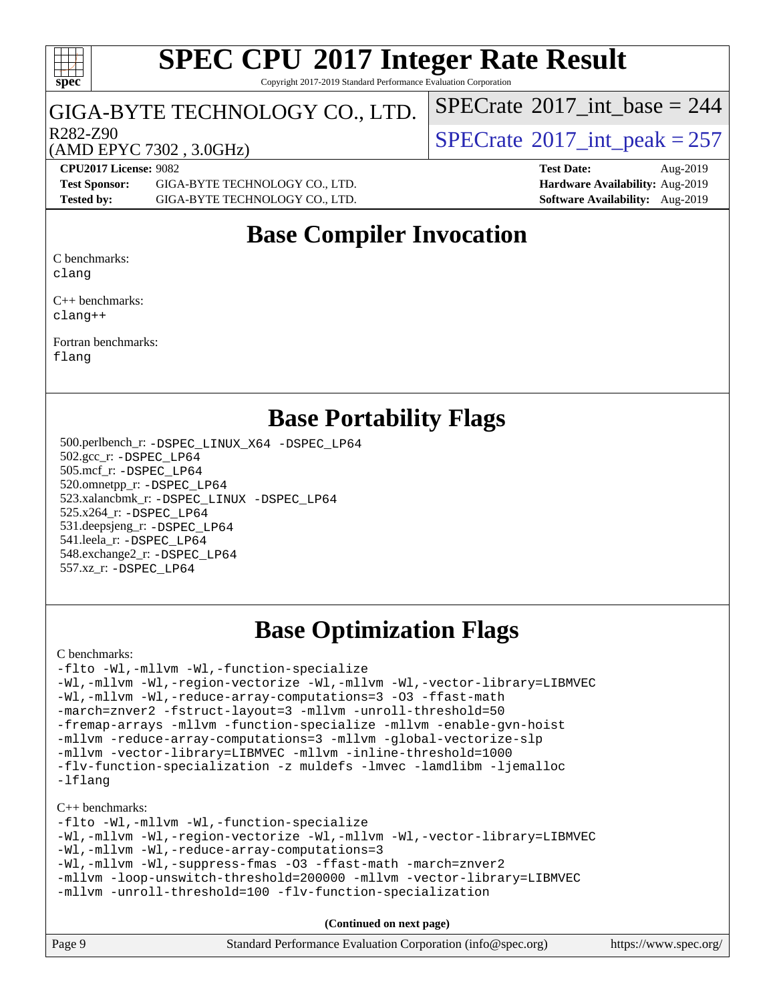#### $\pm\pm\tau$ **[spec](http://www.spec.org/)**

# **[SPEC CPU](http://www.spec.org/auto/cpu2017/Docs/result-fields.html#SPECCPU2017IntegerRateResult)[2017 Integer Rate Result](http://www.spec.org/auto/cpu2017/Docs/result-fields.html#SPECCPU2017IntegerRateResult)**

Copyright 2017-2019 Standard Performance Evaluation Corporation

#### GIGA-BYTE TECHNOLOGY CO., LTD.

 $R^{282-Z90}$ <br>(AMD EPYC 7302 3 0GHz) [SPECrate](http://www.spec.org/auto/cpu2017/Docs/result-fields.html#SPECrate2017intpeak)®[2017\\_int\\_peak = 2](http://www.spec.org/auto/cpu2017/Docs/result-fields.html#SPECrate2017intpeak)57

 $SPECTate$ <sup>®</sup>[2017\\_int\\_base =](http://www.spec.org/auto/cpu2017/Docs/result-fields.html#SPECrate2017intbase) 244

#### (AMD EPYC 7302 , 3.0GHz)

**[CPU2017 License:](http://www.spec.org/auto/cpu2017/Docs/result-fields.html#CPU2017License)** 9082 **[Test Date:](http://www.spec.org/auto/cpu2017/Docs/result-fields.html#TestDate)** Aug-2019 **[Test Sponsor:](http://www.spec.org/auto/cpu2017/Docs/result-fields.html#TestSponsor)** GIGA-BYTE TECHNOLOGY CO., LTD. **[Hardware Availability:](http://www.spec.org/auto/cpu2017/Docs/result-fields.html#HardwareAvailability)** Aug-2019 **[Tested by:](http://www.spec.org/auto/cpu2017/Docs/result-fields.html#Testedby)** GIGA-BYTE TECHNOLOGY CO., LTD. **[Software Availability:](http://www.spec.org/auto/cpu2017/Docs/result-fields.html#SoftwareAvailability)** Aug-2019

### **[Base Compiler Invocation](http://www.spec.org/auto/cpu2017/Docs/result-fields.html#BaseCompilerInvocation)**

[C benchmarks:](http://www.spec.org/auto/cpu2017/Docs/result-fields.html#Cbenchmarks) [clang](http://www.spec.org/cpu2017/results/res2019q3/cpu2017-20190902-17342.flags.html#user_CCbase_clang-c)

[C++ benchmarks:](http://www.spec.org/auto/cpu2017/Docs/result-fields.html#CXXbenchmarks)

[clang++](http://www.spec.org/cpu2017/results/res2019q3/cpu2017-20190902-17342.flags.html#user_CXXbase_clang-cpp)

[Fortran benchmarks](http://www.spec.org/auto/cpu2017/Docs/result-fields.html#Fortranbenchmarks): [flang](http://www.spec.org/cpu2017/results/res2019q3/cpu2017-20190902-17342.flags.html#user_FCbase_flang)

### **[Base Portability Flags](http://www.spec.org/auto/cpu2017/Docs/result-fields.html#BasePortabilityFlags)**

 500.perlbench\_r: [-DSPEC\\_LINUX\\_X64](http://www.spec.org/cpu2017/results/res2019q3/cpu2017-20190902-17342.flags.html#b500.perlbench_r_basePORTABILITY_DSPEC_LINUX_X64) [-DSPEC\\_LP64](http://www.spec.org/cpu2017/results/res2019q3/cpu2017-20190902-17342.flags.html#b500.perlbench_r_baseEXTRA_PORTABILITY_DSPEC_LP64) 502.gcc\_r: [-DSPEC\\_LP64](http://www.spec.org/cpu2017/results/res2019q3/cpu2017-20190902-17342.flags.html#suite_baseEXTRA_PORTABILITY502_gcc_r_DSPEC_LP64) 505.mcf\_r: [-DSPEC\\_LP64](http://www.spec.org/cpu2017/results/res2019q3/cpu2017-20190902-17342.flags.html#suite_baseEXTRA_PORTABILITY505_mcf_r_DSPEC_LP64) 520.omnetpp\_r: [-DSPEC\\_LP64](http://www.spec.org/cpu2017/results/res2019q3/cpu2017-20190902-17342.flags.html#suite_baseEXTRA_PORTABILITY520_omnetpp_r_DSPEC_LP64) 523.xalancbmk\_r: [-DSPEC\\_LINUX](http://www.spec.org/cpu2017/results/res2019q3/cpu2017-20190902-17342.flags.html#b523.xalancbmk_r_basePORTABILITY_DSPEC_LINUX) [-DSPEC\\_LP64](http://www.spec.org/cpu2017/results/res2019q3/cpu2017-20190902-17342.flags.html#suite_baseEXTRA_PORTABILITY523_xalancbmk_r_DSPEC_LP64) 525.x264\_r: [-DSPEC\\_LP64](http://www.spec.org/cpu2017/results/res2019q3/cpu2017-20190902-17342.flags.html#suite_baseEXTRA_PORTABILITY525_x264_r_DSPEC_LP64) 531.deepsjeng\_r: [-DSPEC\\_LP64](http://www.spec.org/cpu2017/results/res2019q3/cpu2017-20190902-17342.flags.html#suite_baseEXTRA_PORTABILITY531_deepsjeng_r_DSPEC_LP64) 541.leela\_r: [-DSPEC\\_LP64](http://www.spec.org/cpu2017/results/res2019q3/cpu2017-20190902-17342.flags.html#suite_baseEXTRA_PORTABILITY541_leela_r_DSPEC_LP64) 548.exchange2\_r: [-DSPEC\\_LP64](http://www.spec.org/cpu2017/results/res2019q3/cpu2017-20190902-17342.flags.html#suite_baseEXTRA_PORTABILITY548_exchange2_r_DSPEC_LP64) 557.xz\_r: [-DSPEC\\_LP64](http://www.spec.org/cpu2017/results/res2019q3/cpu2017-20190902-17342.flags.html#suite_baseEXTRA_PORTABILITY557_xz_r_DSPEC_LP64)

## **[Base Optimization Flags](http://www.spec.org/auto/cpu2017/Docs/result-fields.html#BaseOptimizationFlags)**

#### [C benchmarks](http://www.spec.org/auto/cpu2017/Docs/result-fields.html#Cbenchmarks):

[-flto](http://www.spec.org/cpu2017/results/res2019q3/cpu2017-20190902-17342.flags.html#user_CCbase_aocc-flto) [-Wl,-mllvm -Wl,-function-specialize](http://www.spec.org/cpu2017/results/res2019q3/cpu2017-20190902-17342.flags.html#user_CCbase_F-function-specialize_7e7e661e57922243ee67c9a1251cb8910e607325179a0ce7f2884e09a6f5d4a5ef0ae4f37e8a2a11c95fc48e931f06dc2b6016f14b511fcb441e048bef1b065a) [-Wl,-mllvm -Wl,-region-vectorize](http://www.spec.org/cpu2017/results/res2019q3/cpu2017-20190902-17342.flags.html#user_CCbase_F-region-vectorize_fb6c6b5aa293c88efc6c7c2b52b20755e943585b1fe8658c35afef78727fff56e1a56891413c30e36b8e2a6f9a71126986319243e80eb6110b78b288f533c52b) [-Wl,-mllvm -Wl,-vector-library=LIBMVEC](http://www.spec.org/cpu2017/results/res2019q3/cpu2017-20190902-17342.flags.html#user_CCbase_F-use-vector-library_0a14b27fae317f283640384a31f7bfcc2bd4c1d0b5cfc618a3a430800c9b20217b00f61303eff223a3251b4f06ffbc9739dc5296db9d1fbb9ad24a3939d86d66) [-Wl,-mllvm -Wl,-reduce-array-computations=3](http://www.spec.org/cpu2017/results/res2019q3/cpu2017-20190902-17342.flags.html#user_CCbase_F-reduce-array-computations_b882aefe7a5dda4e33149f6299762b9a720dace3e498e13756f4c04e5a19edf5315c1f3993de2e61ec41e8c206231f84e05da7040e1bb5d69ba27d10a12507e4) [-O3](http://www.spec.org/cpu2017/results/res2019q3/cpu2017-20190902-17342.flags.html#user_CCbase_F-O3) [-ffast-math](http://www.spec.org/cpu2017/results/res2019q3/cpu2017-20190902-17342.flags.html#user_CCbase_aocc-ffast-math) [-march=znver2](http://www.spec.org/cpu2017/results/res2019q3/cpu2017-20190902-17342.flags.html#user_CCbase_aocc-march_3e2e19cff2eeef60c5d90b059483627c9ea47eca6d66670dbd53f9185f6439e27eb5e104cf773e9e8ab18c8842ce63e461a3e948d0214bd567ef3ade411bf467) [-fstruct-layout=3](http://www.spec.org/cpu2017/results/res2019q3/cpu2017-20190902-17342.flags.html#user_CCbase_F-struct-layout) [-mllvm -unroll-threshold=50](http://www.spec.org/cpu2017/results/res2019q3/cpu2017-20190902-17342.flags.html#user_CCbase_F-unroll-threshold_458874500b2c105d6d5cb4d7a611c40e2b16e9e3d26b355fea72d644c3673b4de4b3932662f0ed3dbec75c491a13da2d2ca81180bd779dc531083ef1e1e549dc) [-fremap-arrays](http://www.spec.org/cpu2017/results/res2019q3/cpu2017-20190902-17342.flags.html#user_CCbase_F-fremap-arrays) [-mllvm -function-specialize](http://www.spec.org/cpu2017/results/res2019q3/cpu2017-20190902-17342.flags.html#user_CCbase_F-function-specialize_233b3bdba86027f1b094368157e481c5bc59f40286dc25bfadc1858dcd5745c24fd30d5f188710db7fea399bcc9f44a80b3ce3aacc70a8870250c3ae5e1f35b8) [-mllvm -enable-gvn-hoist](http://www.spec.org/cpu2017/results/res2019q3/cpu2017-20190902-17342.flags.html#user_CCbase_F-enable-gvn-hoist_e5856354646dd6ca1333a0ad99b817e4cf8932b91b82809fd8fd47ceff7b22a89eba5c98fd3e3fa5200368fd772cec3dd56abc3c8f7b655a71b9f9848dddedd5) [-mllvm -reduce-array-computations=3](http://www.spec.org/cpu2017/results/res2019q3/cpu2017-20190902-17342.flags.html#user_CCbase_F-reduce-array-computations_aceadb8604558b566e0e3a0d7a3c1533923dd1fa0889614e16288028922629a28d5695c24d3b3be4306b1e311c54317dfffe3a2e57fbcaabc737a1798de39145) [-mllvm -global-vectorize-slp](http://www.spec.org/cpu2017/results/res2019q3/cpu2017-20190902-17342.flags.html#user_CCbase_F-global-vectorize-slp_a3935e8627af4ced727033b1ffd4db27f4d541a363d28d82bf4c2925fb3a0fd4115d6e42d13a2829f9e024d6608eb67a85cb49770f2da5c5ac8dbc737afad603) [-mllvm -vector-library=LIBMVEC](http://www.spec.org/cpu2017/results/res2019q3/cpu2017-20190902-17342.flags.html#user_CCbase_F-use-vector-library_e584e20b4f7ec96aa109254b65d8e01d864f3d68580371b9d93ed7c338191d4cfce20c3c864632264effc6bbe4c7c38153d02096a342ee92501c4a53204a7871) [-mllvm -inline-threshold=1000](http://www.spec.org/cpu2017/results/res2019q3/cpu2017-20190902-17342.flags.html#user_CCbase_dragonegg-llvm-inline-threshold_b7832241b0a6397e4ecdbaf0eb7defdc10f885c2a282fa3240fdc99844d543fda39cf8a4a9dccf68cf19b5438ac3b455264f478df15da0f4988afa40d8243bab) [-flv-function-specialization](http://www.spec.org/cpu2017/results/res2019q3/cpu2017-20190902-17342.flags.html#user_CCbase_F-flv-function-specialization) [-z muldefs](http://www.spec.org/cpu2017/results/res2019q3/cpu2017-20190902-17342.flags.html#user_CCbase_aocc-muldefs) [-lmvec](http://www.spec.org/cpu2017/results/res2019q3/cpu2017-20190902-17342.flags.html#user_CCbase_F-lmvec) [-lamdlibm](http://www.spec.org/cpu2017/results/res2019q3/cpu2017-20190902-17342.flags.html#user_CCbase_F-lamdlibm) [-ljemalloc](http://www.spec.org/cpu2017/results/res2019q3/cpu2017-20190902-17342.flags.html#user_CCbase_jemalloc-lib) [-lflang](http://www.spec.org/cpu2017/results/res2019q3/cpu2017-20190902-17342.flags.html#user_CCbase_F-lflang)

#### [C++ benchmarks:](http://www.spec.org/auto/cpu2017/Docs/result-fields.html#CXXbenchmarks)

[-flto](http://www.spec.org/cpu2017/results/res2019q3/cpu2017-20190902-17342.flags.html#user_CXXbase_aocc-flto) [-Wl,-mllvm -Wl,-function-specialize](http://www.spec.org/cpu2017/results/res2019q3/cpu2017-20190902-17342.flags.html#user_CXXbase_F-function-specialize_7e7e661e57922243ee67c9a1251cb8910e607325179a0ce7f2884e09a6f5d4a5ef0ae4f37e8a2a11c95fc48e931f06dc2b6016f14b511fcb441e048bef1b065a) [-Wl,-mllvm -Wl,-region-vectorize](http://www.spec.org/cpu2017/results/res2019q3/cpu2017-20190902-17342.flags.html#user_CXXbase_F-region-vectorize_fb6c6b5aa293c88efc6c7c2b52b20755e943585b1fe8658c35afef78727fff56e1a56891413c30e36b8e2a6f9a71126986319243e80eb6110b78b288f533c52b) [-Wl,-mllvm -Wl,-vector-library=LIBMVEC](http://www.spec.org/cpu2017/results/res2019q3/cpu2017-20190902-17342.flags.html#user_CXXbase_F-use-vector-library_0a14b27fae317f283640384a31f7bfcc2bd4c1d0b5cfc618a3a430800c9b20217b00f61303eff223a3251b4f06ffbc9739dc5296db9d1fbb9ad24a3939d86d66) [-Wl,-mllvm -Wl,-reduce-array-computations=3](http://www.spec.org/cpu2017/results/res2019q3/cpu2017-20190902-17342.flags.html#user_CXXbase_F-reduce-array-computations_b882aefe7a5dda4e33149f6299762b9a720dace3e498e13756f4c04e5a19edf5315c1f3993de2e61ec41e8c206231f84e05da7040e1bb5d69ba27d10a12507e4) [-Wl,-mllvm -Wl,-suppress-fmas](http://www.spec.org/cpu2017/results/res2019q3/cpu2017-20190902-17342.flags.html#user_CXXbase_F-suppress-fmas_f00f00630e4a059e8af9c161e9bbf420bcf19890a7f99d5933525e66aa4b0bb3ab2339d2b12d97d3a5f5d271e839fe9c109938e91fe06230fb53651590cfa1e8) [-O3](http://www.spec.org/cpu2017/results/res2019q3/cpu2017-20190902-17342.flags.html#user_CXXbase_F-O3) [-ffast-math](http://www.spec.org/cpu2017/results/res2019q3/cpu2017-20190902-17342.flags.html#user_CXXbase_aocc-ffast-math) [-march=znver2](http://www.spec.org/cpu2017/results/res2019q3/cpu2017-20190902-17342.flags.html#user_CXXbase_aocc-march_3e2e19cff2eeef60c5d90b059483627c9ea47eca6d66670dbd53f9185f6439e27eb5e104cf773e9e8ab18c8842ce63e461a3e948d0214bd567ef3ade411bf467) [-mllvm -loop-unswitch-threshold=200000](http://www.spec.org/cpu2017/results/res2019q3/cpu2017-20190902-17342.flags.html#user_CXXbase_F-loop-unswitch-threshold_f9a82ae3270e55b5fbf79d0d96ee93606b73edbbe527d20b18b7bff1a3a146ad50cfc7454c5297978340ae9213029016a7d16221274d672d3f7f42ed25274e1d) [-mllvm -vector-library=LIBMVEC](http://www.spec.org/cpu2017/results/res2019q3/cpu2017-20190902-17342.flags.html#user_CXXbase_F-use-vector-library_e584e20b4f7ec96aa109254b65d8e01d864f3d68580371b9d93ed7c338191d4cfce20c3c864632264effc6bbe4c7c38153d02096a342ee92501c4a53204a7871) [-mllvm -unroll-threshold=100](http://www.spec.org/cpu2017/results/res2019q3/cpu2017-20190902-17342.flags.html#user_CXXbase_F-unroll-threshold_2755d0c78138845d361fa1543e3a063fffa198df9b3edf0cfb856bbc88a81e1769b12ac7a550c5d35197be55360db1a3f95a8d1304df999456cabf5120c45168) [-flv-function-specialization](http://www.spec.org/cpu2017/results/res2019q3/cpu2017-20190902-17342.flags.html#user_CXXbase_F-flv-function-specialization)

**(Continued on next page)**

| Page 9 | Standard Performance Evaluation Corporation (info@spec.org) | https://www.spec.org/ |
|--------|-------------------------------------------------------------|-----------------------|
|--------|-------------------------------------------------------------|-----------------------|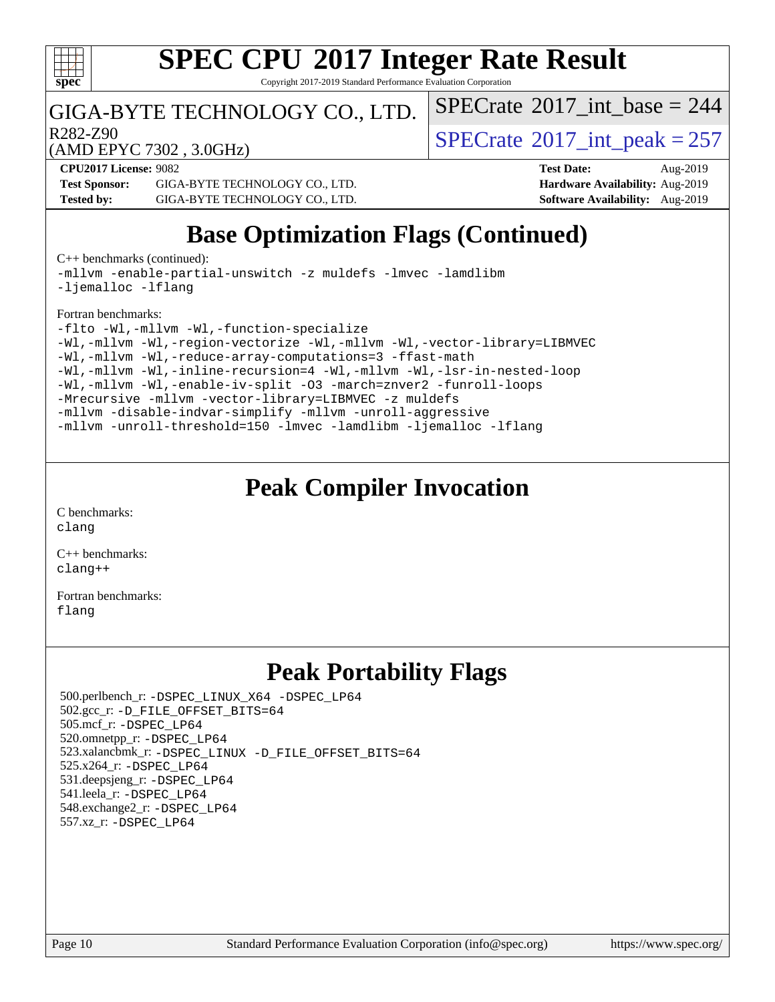

Copyright 2017-2019 Standard Performance Evaluation Corporation

### GIGA-BYTE TECHNOLOGY CO., LTD.

R282-Z90<br>  $\text{SPECTate}^{\circ}2017\_int\_peak = 257$ 

 $SPECTate$ <sup>®</sup>[2017\\_int\\_base =](http://www.spec.org/auto/cpu2017/Docs/result-fields.html#SPECrate2017intbase) 244

(AMD EPYC 7302 , 3.0GHz)

**[Test Sponsor:](http://www.spec.org/auto/cpu2017/Docs/result-fields.html#TestSponsor)** GIGA-BYTE TECHNOLOGY CO., LTD. **[Hardware Availability:](http://www.spec.org/auto/cpu2017/Docs/result-fields.html#HardwareAvailability)** Aug-2019 **[Tested by:](http://www.spec.org/auto/cpu2017/Docs/result-fields.html#Testedby)** GIGA-BYTE TECHNOLOGY CO., LTD. **[Software Availability:](http://www.spec.org/auto/cpu2017/Docs/result-fields.html#SoftwareAvailability)** Aug-2019

**[CPU2017 License:](http://www.spec.org/auto/cpu2017/Docs/result-fields.html#CPU2017License)** 9082 **[Test Date:](http://www.spec.org/auto/cpu2017/Docs/result-fields.html#TestDate)** Aug-2019

## **[Base Optimization Flags \(Continued\)](http://www.spec.org/auto/cpu2017/Docs/result-fields.html#BaseOptimizationFlags)**

[C++ benchmarks](http://www.spec.org/auto/cpu2017/Docs/result-fields.html#CXXbenchmarks) (continued):

[-mllvm -enable-partial-unswitch](http://www.spec.org/cpu2017/results/res2019q3/cpu2017-20190902-17342.flags.html#user_CXXbase_F-enable-partial-unswitch_6e1c33f981d77963b1eaf834973128a7f33ce3f8e27f54689656697a35e89dcc875281e0e6283d043e32f367dcb605ba0e307a92e830f7e326789fa6c61b35d3) [-z muldefs](http://www.spec.org/cpu2017/results/res2019q3/cpu2017-20190902-17342.flags.html#user_CXXbase_aocc-muldefs) [-lmvec](http://www.spec.org/cpu2017/results/res2019q3/cpu2017-20190902-17342.flags.html#user_CXXbase_F-lmvec) [-lamdlibm](http://www.spec.org/cpu2017/results/res2019q3/cpu2017-20190902-17342.flags.html#user_CXXbase_F-lamdlibm) [-ljemalloc](http://www.spec.org/cpu2017/results/res2019q3/cpu2017-20190902-17342.flags.html#user_CXXbase_jemalloc-lib) [-lflang](http://www.spec.org/cpu2017/results/res2019q3/cpu2017-20190902-17342.flags.html#user_CXXbase_F-lflang)

[Fortran benchmarks](http://www.spec.org/auto/cpu2017/Docs/result-fields.html#Fortranbenchmarks):

```
-flto -Wl,-mllvm -Wl,-function-specialize
-Wl,-mllvm -Wl,-region-vectorize-Wl,-mllvm -Wl,-vector-library=LIBMVEC
-Wl,-mllvm -Wl,-reduce-array-computations=3 -ffast-math
-Wl,-mllvm -Wl,-inline-recursion=4 -Wl,-mllvm -Wl,-lsr-in-nested-loop
-Wl,-mllvm -Wl,-enable-iv-split -O3 -march=znver2 -funroll-loops
-Mrecursive -mllvm -vector-library=LIBMVEC -z muldefs
-mllvm -disable-indvar-simplify -mllvm -unroll-aggressive
-mllvm -unroll-threshold=150 -lmvec -lamdlibm -ljemalloc -lflang
```
## **[Peak Compiler Invocation](http://www.spec.org/auto/cpu2017/Docs/result-fields.html#PeakCompilerInvocation)**

[C benchmarks](http://www.spec.org/auto/cpu2017/Docs/result-fields.html#Cbenchmarks): [clang](http://www.spec.org/cpu2017/results/res2019q3/cpu2017-20190902-17342.flags.html#user_CCpeak_clang-c)

[C++ benchmarks:](http://www.spec.org/auto/cpu2017/Docs/result-fields.html#CXXbenchmarks) [clang++](http://www.spec.org/cpu2017/results/res2019q3/cpu2017-20190902-17342.flags.html#user_CXXpeak_clang-cpp)

[Fortran benchmarks](http://www.spec.org/auto/cpu2017/Docs/result-fields.html#Fortranbenchmarks): [flang](http://www.spec.org/cpu2017/results/res2019q3/cpu2017-20190902-17342.flags.html#user_FCpeak_flang)

## **[Peak Portability Flags](http://www.spec.org/auto/cpu2017/Docs/result-fields.html#PeakPortabilityFlags)**

 500.perlbench\_r: [-DSPEC\\_LINUX\\_X64](http://www.spec.org/cpu2017/results/res2019q3/cpu2017-20190902-17342.flags.html#b500.perlbench_r_peakPORTABILITY_DSPEC_LINUX_X64) [-DSPEC\\_LP64](http://www.spec.org/cpu2017/results/res2019q3/cpu2017-20190902-17342.flags.html#b500.perlbench_r_peakEXTRA_PORTABILITY_DSPEC_LP64) 502.gcc\_r: [-D\\_FILE\\_OFFSET\\_BITS=64](http://www.spec.org/cpu2017/results/res2019q3/cpu2017-20190902-17342.flags.html#user_peakEXTRA_PORTABILITY502_gcc_r_F-D_FILE_OFFSET_BITS_5ae949a99b284ddf4e95728d47cb0843d81b2eb0e18bdfe74bbf0f61d0b064f4bda2f10ea5eb90e1dcab0e84dbc592acfc5018bc955c18609f94ddb8d550002c) 505.mcf\_r: [-DSPEC\\_LP64](http://www.spec.org/cpu2017/results/res2019q3/cpu2017-20190902-17342.flags.html#suite_peakEXTRA_PORTABILITY505_mcf_r_DSPEC_LP64) 520.omnetpp\_r: [-DSPEC\\_LP64](http://www.spec.org/cpu2017/results/res2019q3/cpu2017-20190902-17342.flags.html#suite_peakEXTRA_PORTABILITY520_omnetpp_r_DSPEC_LP64) 523.xalancbmk\_r: [-DSPEC\\_LINUX](http://www.spec.org/cpu2017/results/res2019q3/cpu2017-20190902-17342.flags.html#b523.xalancbmk_r_peakPORTABILITY_DSPEC_LINUX) [-D\\_FILE\\_OFFSET\\_BITS=64](http://www.spec.org/cpu2017/results/res2019q3/cpu2017-20190902-17342.flags.html#user_peakEXTRA_PORTABILITY523_xalancbmk_r_F-D_FILE_OFFSET_BITS_5ae949a99b284ddf4e95728d47cb0843d81b2eb0e18bdfe74bbf0f61d0b064f4bda2f10ea5eb90e1dcab0e84dbc592acfc5018bc955c18609f94ddb8d550002c) 525.x264\_r: [-DSPEC\\_LP64](http://www.spec.org/cpu2017/results/res2019q3/cpu2017-20190902-17342.flags.html#suite_peakEXTRA_PORTABILITY525_x264_r_DSPEC_LP64) 531.deepsjeng\_r: [-DSPEC\\_LP64](http://www.spec.org/cpu2017/results/res2019q3/cpu2017-20190902-17342.flags.html#suite_peakEXTRA_PORTABILITY531_deepsjeng_r_DSPEC_LP64) 541.leela\_r: [-DSPEC\\_LP64](http://www.spec.org/cpu2017/results/res2019q3/cpu2017-20190902-17342.flags.html#suite_peakEXTRA_PORTABILITY541_leela_r_DSPEC_LP64) 548.exchange2\_r: [-DSPEC\\_LP64](http://www.spec.org/cpu2017/results/res2019q3/cpu2017-20190902-17342.flags.html#suite_peakEXTRA_PORTABILITY548_exchange2_r_DSPEC_LP64) 557.xz\_r: [-DSPEC\\_LP64](http://www.spec.org/cpu2017/results/res2019q3/cpu2017-20190902-17342.flags.html#suite_peakEXTRA_PORTABILITY557_xz_r_DSPEC_LP64)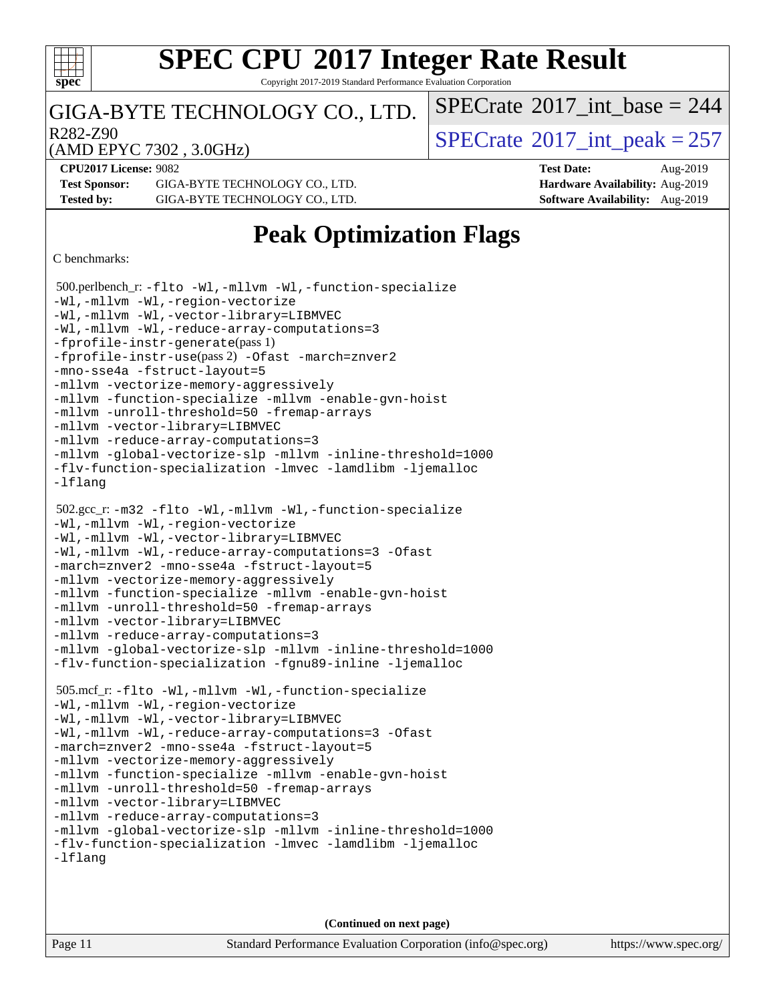

Copyright 2017-2019 Standard Performance Evaluation Corporation

#### GIGA-BYTE TECHNOLOGY CO., LTD.

 $R^{282-Z90}$ <br>(AMD EPYC 7302 3 0GHz) [SPECrate](http://www.spec.org/auto/cpu2017/Docs/result-fields.html#SPECrate2017intpeak)®[2017\\_int\\_peak = 2](http://www.spec.org/auto/cpu2017/Docs/result-fields.html#SPECrate2017intpeak)57

 $SPECTate$ <sup>®</sup>[2017\\_int\\_base =](http://www.spec.org/auto/cpu2017/Docs/result-fields.html#SPECrate2017intbase) 244

(AMD EPYC 7302 , 3.0GHz)

**[CPU2017 License:](http://www.spec.org/auto/cpu2017/Docs/result-fields.html#CPU2017License)** 9082 **[Test Date:](http://www.spec.org/auto/cpu2017/Docs/result-fields.html#TestDate)** Aug-2019 **[Test Sponsor:](http://www.spec.org/auto/cpu2017/Docs/result-fields.html#TestSponsor)** GIGA-BYTE TECHNOLOGY CO., LTD. **[Hardware Availability:](http://www.spec.org/auto/cpu2017/Docs/result-fields.html#HardwareAvailability)** Aug-2019 **[Tested by:](http://www.spec.org/auto/cpu2017/Docs/result-fields.html#Testedby)** GIGA-BYTE TECHNOLOGY CO., LTD. **[Software Availability:](http://www.spec.org/auto/cpu2017/Docs/result-fields.html#SoftwareAvailability)** Aug-2019

## **[Peak Optimization Flags](http://www.spec.org/auto/cpu2017/Docs/result-fields.html#PeakOptimizationFlags)**

[C benchmarks](http://www.spec.org/auto/cpu2017/Docs/result-fields.html#Cbenchmarks):

```
 500.perlbench_r: -flto -Wl,-mllvm -Wl,-function-specialize
-Wl,-mllvm -Wl,-region-vectorize
-Wl,-mllvm -Wl,-vector-library=LIBMVEC
-Wl,-mllvm -Wl,-reduce-array-computations=3
-fprofile-instr-generate(pass 1)
-fprofile-instr-use(pass 2) -Ofast -march=znver2
-mno-sse4a -fstruct-layout=5
-mllvm -vectorize-memory-aggressively
-mllvm -function-specialize -mllvm -enable-gvn-hoist
-mllvm -unroll-threshold=50 -fremap-arrays
-mllvm -vector-library=LIBMVEC
-mllvm -reduce-array-computations=3
-mllvm -global-vectorize-slp -mllvm -inline-threshold=1000
-flv-function-specialization -lmvec -lamdlibm -ljemalloc
-lflang
 502.gcc_r: -m32 -flto -Wl,-mllvm -Wl,-function-specialize
-Wl,-mllvm -Wl,-region-vectorize
-Wl,-mllvm -Wl,-vector-library=LIBMVEC
-Wl,-mllvm -Wl,-reduce-array-computations=3 -Ofast
-march=znver2 -mno-sse4a -fstruct-layout=5
-mllvm -vectorize-memory-aggressively
-mllvm -function-specialize -mllvm -enable-gvn-hoist
-mllvm -unroll-threshold=50 -fremap-arrays
-mllvm -vector-library=LIBMVEC
-mllvm -reduce-array-computations=3
-mllvm -global-vectorize-slp -mllvm -inline-threshold=1000
-flv-function-specialization -fgnu89-inline -ljemalloc
 505.mcf_r: -flto -Wl,-mllvm -Wl,-function-specialize
-Wl,-mllvm -Wl,-region-vectorize
-Wl,-mllvm -Wl,-vector-library=LIBMVEC
-Wl,-mllvm -Wl,-reduce-array-computations=3 -Ofast
-march=znver2 -mno-sse4a -fstruct-layout=5
-mllvm -vectorize-memory-aggressively
-mllvm -function-specialize -mllvm -enable-gvn-hoist
-mllvm -unroll-threshold=50 -fremap-arrays
-mllvm -vector-library=LIBMVEC
-mllvm -reduce-array-computations=3
-mllvm -global-vectorize-slp -mllvm -inline-threshold=1000
-flv-function-specialization -lmvec -lamdlibm -ljemalloc
-lflang
```
**(Continued on next page)**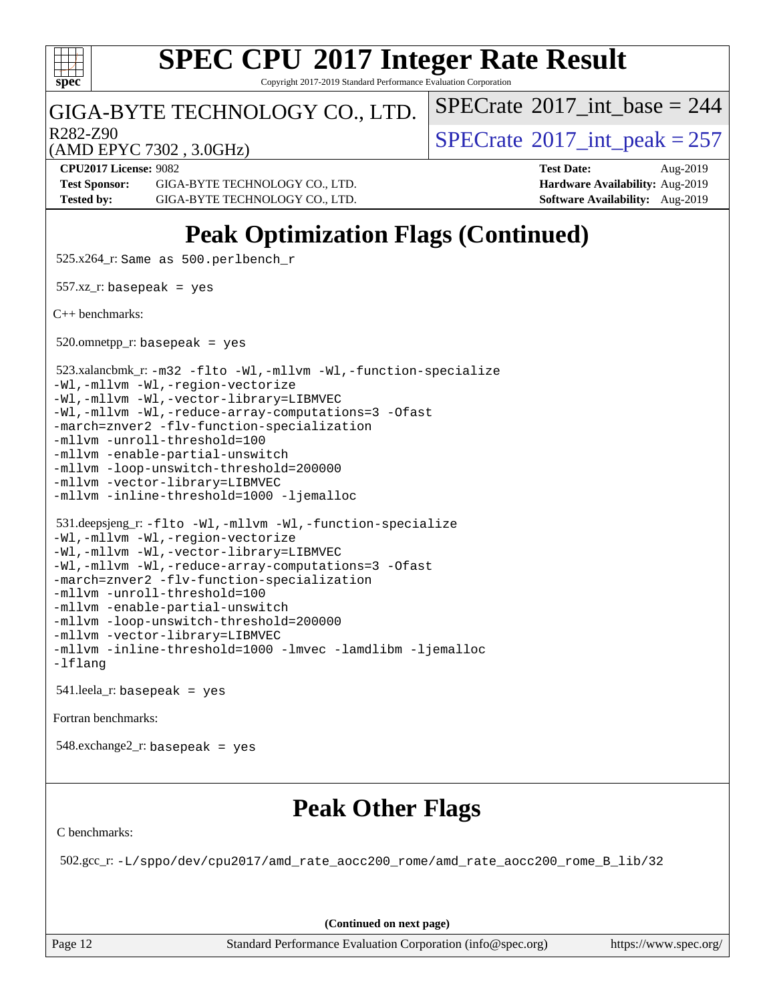

Copyright 2017-2019 Standard Performance Evaluation Corporation

#### GIGA-BYTE TECHNOLOGY CO., LTD.

R282-Z90<br>  $\text{SPECTate}^{\circ}2017\_int\_peak = 257$ 

 $SPECTate$ <sup>®</sup>[2017\\_int\\_base =](http://www.spec.org/auto/cpu2017/Docs/result-fields.html#SPECrate2017intbase) 244

(AMD EPYC 7302 , 3.0GHz)

**[CPU2017 License:](http://www.spec.org/auto/cpu2017/Docs/result-fields.html#CPU2017License)** 9082 **[Test Date:](http://www.spec.org/auto/cpu2017/Docs/result-fields.html#TestDate)** Aug-2019 **[Test Sponsor:](http://www.spec.org/auto/cpu2017/Docs/result-fields.html#TestSponsor)** GIGA-BYTE TECHNOLOGY CO., LTD. **[Hardware Availability:](http://www.spec.org/auto/cpu2017/Docs/result-fields.html#HardwareAvailability)** Aug-2019 **[Tested by:](http://www.spec.org/auto/cpu2017/Docs/result-fields.html#Testedby)** GIGA-BYTE TECHNOLOGY CO., LTD. **[Software Availability:](http://www.spec.org/auto/cpu2017/Docs/result-fields.html#SoftwareAvailability)** Aug-2019

## **[Peak Optimization Flags \(Continued\)](http://www.spec.org/auto/cpu2017/Docs/result-fields.html#PeakOptimizationFlags)**

525.x264\_r: Same as 500.perlbench\_r

 $557.xz$ \_r: basepeak = yes

[C++ benchmarks:](http://www.spec.org/auto/cpu2017/Docs/result-fields.html#CXXbenchmarks)

 $520.$ omnetpp\_r: basepeak = yes

523.xalancbmk\_r: [-m32](http://www.spec.org/cpu2017/results/res2019q3/cpu2017-20190902-17342.flags.html#user_peakCXXLD523_xalancbmk_r_F-m32) [-flto](http://www.spec.org/cpu2017/results/res2019q3/cpu2017-20190902-17342.flags.html#user_peakCXXOPTIMIZELDFLAGS523_xalancbmk_r_aocc-flto) [-Wl,-mllvm -Wl,-function-specialize](http://www.spec.org/cpu2017/results/res2019q3/cpu2017-20190902-17342.flags.html#user_peakLDFLAGS523_xalancbmk_r_F-function-specialize_7e7e661e57922243ee67c9a1251cb8910e607325179a0ce7f2884e09a6f5d4a5ef0ae4f37e8a2a11c95fc48e931f06dc2b6016f14b511fcb441e048bef1b065a)

[-Wl,-mllvm -Wl,-region-vectorize](http://www.spec.org/cpu2017/results/res2019q3/cpu2017-20190902-17342.flags.html#user_peakLDFLAGS523_xalancbmk_r_F-region-vectorize_fb6c6b5aa293c88efc6c7c2b52b20755e943585b1fe8658c35afef78727fff56e1a56891413c30e36b8e2a6f9a71126986319243e80eb6110b78b288f533c52b)

[-Wl,-mllvm -Wl,-vector-library=LIBMVEC](http://www.spec.org/cpu2017/results/res2019q3/cpu2017-20190902-17342.flags.html#user_peakLDFLAGS523_xalancbmk_r_F-use-vector-library_0a14b27fae317f283640384a31f7bfcc2bd4c1d0b5cfc618a3a430800c9b20217b00f61303eff223a3251b4f06ffbc9739dc5296db9d1fbb9ad24a3939d86d66) [-Wl,-mllvm -Wl,-reduce-array-computations=3](http://www.spec.org/cpu2017/results/res2019q3/cpu2017-20190902-17342.flags.html#user_peakLDFLAGS523_xalancbmk_r_F-reduce-array-computations_b882aefe7a5dda4e33149f6299762b9a720dace3e498e13756f4c04e5a19edf5315c1f3993de2e61ec41e8c206231f84e05da7040e1bb5d69ba27d10a12507e4) [-Ofast](http://www.spec.org/cpu2017/results/res2019q3/cpu2017-20190902-17342.flags.html#user_peakCXXOPTIMIZE523_xalancbmk_r_aocc-Ofast)

[-march=znver2](http://www.spec.org/cpu2017/results/res2019q3/cpu2017-20190902-17342.flags.html#user_peakCXXOPTIMIZE523_xalancbmk_r_aocc-march_3e2e19cff2eeef60c5d90b059483627c9ea47eca6d66670dbd53f9185f6439e27eb5e104cf773e9e8ab18c8842ce63e461a3e948d0214bd567ef3ade411bf467) [-flv-function-specialization](http://www.spec.org/cpu2017/results/res2019q3/cpu2017-20190902-17342.flags.html#user_peakCXXOPTIMIZE523_xalancbmk_r_F-flv-function-specialization)

[-mllvm -unroll-threshold=100](http://www.spec.org/cpu2017/results/res2019q3/cpu2017-20190902-17342.flags.html#user_peakCXXOPTIMIZE523_xalancbmk_r_F-unroll-threshold_2755d0c78138845d361fa1543e3a063fffa198df9b3edf0cfb856bbc88a81e1769b12ac7a550c5d35197be55360db1a3f95a8d1304df999456cabf5120c45168)

[-mllvm -enable-partial-unswitch](http://www.spec.org/cpu2017/results/res2019q3/cpu2017-20190902-17342.flags.html#user_peakCXXOPTIMIZE523_xalancbmk_r_F-enable-partial-unswitch_6e1c33f981d77963b1eaf834973128a7f33ce3f8e27f54689656697a35e89dcc875281e0e6283d043e32f367dcb605ba0e307a92e830f7e326789fa6c61b35d3)

[-mllvm -loop-unswitch-threshold=200000](http://www.spec.org/cpu2017/results/res2019q3/cpu2017-20190902-17342.flags.html#user_peakCXXOPTIMIZE523_xalancbmk_r_F-loop-unswitch-threshold_f9a82ae3270e55b5fbf79d0d96ee93606b73edbbe527d20b18b7bff1a3a146ad50cfc7454c5297978340ae9213029016a7d16221274d672d3f7f42ed25274e1d) [-mllvm -vector-library=LIBMVEC](http://www.spec.org/cpu2017/results/res2019q3/cpu2017-20190902-17342.flags.html#user_peakCXXOPTIMIZE523_xalancbmk_r_F-use-vector-library_e584e20b4f7ec96aa109254b65d8e01d864f3d68580371b9d93ed7c338191d4cfce20c3c864632264effc6bbe4c7c38153d02096a342ee92501c4a53204a7871)

[-mllvm -inline-threshold=1000](http://www.spec.org/cpu2017/results/res2019q3/cpu2017-20190902-17342.flags.html#user_peakCXXOPTIMIZE523_xalancbmk_r_dragonegg-llvm-inline-threshold_b7832241b0a6397e4ecdbaf0eb7defdc10f885c2a282fa3240fdc99844d543fda39cf8a4a9dccf68cf19b5438ac3b455264f478df15da0f4988afa40d8243bab) [-ljemalloc](http://www.spec.org/cpu2017/results/res2019q3/cpu2017-20190902-17342.flags.html#user_peakEXTRA_LIBS523_xalancbmk_r_jemalloc-lib)

```
 531.deepsjeng_r: -flto -Wl,-mllvm -Wl,-function-specialize
-Wl,-mllvm -Wl,-region-vectorize
-Wl,-mllvm -Wl,-vector-library=LIBMVEC
-Wl,-mllvm -Wl,-reduce-array-computations=3 -Ofast
-march=znver2 -flv-function-specialization
-mllvm -unroll-threshold=100
-mllvm -enable-partial-unswitch
```
[-mllvm -loop-unswitch-threshold=200000](http://www.spec.org/cpu2017/results/res2019q3/cpu2017-20190902-17342.flags.html#user_peakCXXOPTIMIZE531_deepsjeng_r_F-loop-unswitch-threshold_f9a82ae3270e55b5fbf79d0d96ee93606b73edbbe527d20b18b7bff1a3a146ad50cfc7454c5297978340ae9213029016a7d16221274d672d3f7f42ed25274e1d) [-mllvm -vector-library=LIBMVEC](http://www.spec.org/cpu2017/results/res2019q3/cpu2017-20190902-17342.flags.html#user_peakCXXOPTIMIZE531_deepsjeng_r_F-use-vector-library_e584e20b4f7ec96aa109254b65d8e01d864f3d68580371b9d93ed7c338191d4cfce20c3c864632264effc6bbe4c7c38153d02096a342ee92501c4a53204a7871) [-mllvm -inline-threshold=1000](http://www.spec.org/cpu2017/results/res2019q3/cpu2017-20190902-17342.flags.html#user_peakCXXOPTIMIZE531_deepsjeng_r_dragonegg-llvm-inline-threshold_b7832241b0a6397e4ecdbaf0eb7defdc10f885c2a282fa3240fdc99844d543fda39cf8a4a9dccf68cf19b5438ac3b455264f478df15da0f4988afa40d8243bab) [-lmvec](http://www.spec.org/cpu2017/results/res2019q3/cpu2017-20190902-17342.flags.html#user_peakEXTRA_LIBS531_deepsjeng_r_F-lmvec) [-lamdlibm](http://www.spec.org/cpu2017/results/res2019q3/cpu2017-20190902-17342.flags.html#user_peakEXTRA_LIBS531_deepsjeng_r_F-lamdlibm) [-ljemalloc](http://www.spec.org/cpu2017/results/res2019q3/cpu2017-20190902-17342.flags.html#user_peakEXTRA_LIBS531_deepsjeng_r_jemalloc-lib) [-lflang](http://www.spec.org/cpu2017/results/res2019q3/cpu2017-20190902-17342.flags.html#user_peakEXTRA_LIBS531_deepsjeng_r_F-lflang)

541.leela\_r: basepeak = yes

[Fortran benchmarks](http://www.spec.org/auto/cpu2017/Docs/result-fields.html#Fortranbenchmarks):

548.exchange2\_r: basepeak = yes

## **[Peak Other Flags](http://www.spec.org/auto/cpu2017/Docs/result-fields.html#PeakOtherFlags)**

[C benchmarks](http://www.spec.org/auto/cpu2017/Docs/result-fields.html#Cbenchmarks):

502.gcc\_r: [-L/sppo/dev/cpu2017/amd\\_rate\\_aocc200\\_rome/amd\\_rate\\_aocc200\\_rome\\_B\\_lib/32](http://www.spec.org/cpu2017/results/res2019q3/cpu2017-20190902-17342.flags.html#user_peakEXTRA_LIBS502_gcc_r_Link_path_b5b00bf31c61d6947cc4d630bced3fb89849443ebddda32d892fa949b687351d25501389afe57599b9ceaeea7a84dd539259c16c4264887e55121a7d0c1762af)

**(Continued on next page)**

Page 12 Standard Performance Evaluation Corporation [\(info@spec.org\)](mailto:info@spec.org) <https://www.spec.org/>